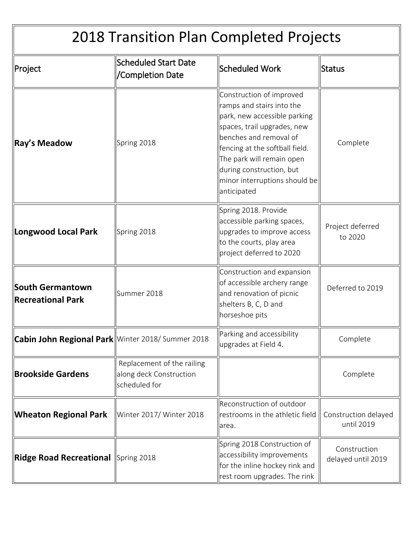| 2018 Transition Plan Completed Projects                 |                                                                        |                                                                                                                                                                                                                                                                                           |                                    |  |
|---------------------------------------------------------|------------------------------------------------------------------------|-------------------------------------------------------------------------------------------------------------------------------------------------------------------------------------------------------------------------------------------------------------------------------------------|------------------------------------|--|
| ∥Project                                                | <b>Scheduled Start Date</b><br>'Completion Date                        | <b>Scheduled Work</b>                                                                                                                                                                                                                                                                     | Status                             |  |
| ∥Ray's Meadow                                           | Spring 2018                                                            | Construction of improved<br>ramps and stairs into the<br>park, new accessible parking<br>spaces, trail upgrades, new<br>benches and removal of<br>fencing at the softball field.<br>The park will remain open<br>during construction, but<br>minor interruptions should be<br>anticipated | Complete                           |  |
| Longwood Local Park                                     | Spring 2018                                                            | Spring 2018. Provide<br>accessible parking spaces,<br>upgrades to improve access<br>to the courts, play area<br>project deferred to 2020                                                                                                                                                  | Project deferred<br>to 2020        |  |
| South Germantown<br>Recreational Park                   | Summer 2018                                                            | Construction and expansion<br>of accessible archery range<br>and renovation of picnic<br>shelters B, C, D and<br>horseshoe pits                                                                                                                                                           | Deferred to 2019                   |  |
| <b>Cabin John Regional Park</b> Winter 2018/Summer 2018 |                                                                        | Parking and accessibility<br>upgrades at Field 4.                                                                                                                                                                                                                                         | Complete                           |  |
| <b>Brookside Gardens</b>                                | Replacement of the railing<br>along deck Construction<br>scheduled for |                                                                                                                                                                                                                                                                                           | Complete                           |  |
| <b>Wheaton Regional Park</b>                            | Winter 2017/ Winter 2018                                               | Reconstruction of outdoor<br>restrooms in the athletic field<br>area.                                                                                                                                                                                                                     | Construction delayed<br>until 2019 |  |
| Ridge Road Recreational Spring 2018                     |                                                                        | Spring 2018 Construction of<br>accessibility improvements<br>for the inline hockey rink and<br>rest room upgrades. The rink                                                                                                                                                               | Construction<br>delayed until 2019 |  |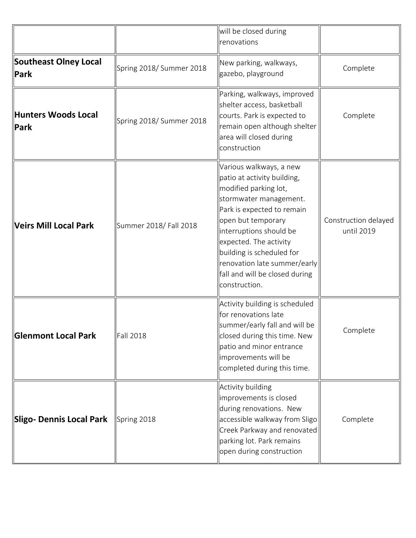|                                             |                          | will be closed during<br>renovations                                                                                                                                                                                                                                                                                               |                                    |
|---------------------------------------------|--------------------------|------------------------------------------------------------------------------------------------------------------------------------------------------------------------------------------------------------------------------------------------------------------------------------------------------------------------------------|------------------------------------|
| <b>Southeast Olney Local</b><br><b>Park</b> | Spring 2018/Summer 2018  | New parking, walkways,<br>gazebo, playground                                                                                                                                                                                                                                                                                       | Complete                           |
| <b>Hunters Woods Local</b><br>Park          | Spring 2018/ Summer 2018 | Parking, walkways, improved<br>shelter access, basketball<br>courts. Park is expected to<br>remain open although shelter<br>area will closed during<br>construction                                                                                                                                                                | Complete                           |
| <b>Veirs Mill Local Park</b>                | Summer 2018/Fall 2018    | Various walkways, a new<br>patio at activity building,<br>modified parking lot,<br>stormwater management.<br>Park is expected to remain<br>open but temporary<br>interruptions should be<br>expected. The activity<br>building is scheduled for<br>renovation late summer/early<br>fall and will be closed during<br>construction. | Construction delayed<br>until 2019 |
| <b>Glenmont Local Park</b>                  | <b>Fall 2018</b>         | Activity building is scheduled<br>for renovations late<br>summer/early fall and will be<br>closed during this time. New<br>patio and minor entrance<br>improvements will be<br>completed during this time.                                                                                                                         | Complete                           |
| <b>Sligo- Dennis Local Park</b>             | Spring 2018              | Activity building<br>improvements is closed<br>during renovations. New<br>accessible walkway from Sligo<br>Creek Parkway and renovated<br>parking lot. Park remains<br>open during construction                                                                                                                                    | Complete                           |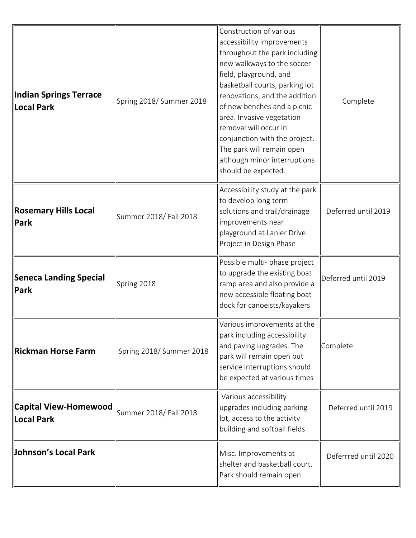| ∥Indian Springs Terrace<br>Local Park       | Spring 2018/ Summer 2018 | Construction of various<br>accessibility improvements<br>throughout the park including<br>new walkways to the soccer<br>field, playground, and<br>basketball courts, parking lot<br>renovations, and the addition<br>of new benches and a picnic<br>area. Invasive vegetation<br>removal will occur in<br>conjunction with the project.<br>The park will remain open<br>although minor interruptions<br>should be expected. | Complete             |
|---------------------------------------------|--------------------------|-----------------------------------------------------------------------------------------------------------------------------------------------------------------------------------------------------------------------------------------------------------------------------------------------------------------------------------------------------------------------------------------------------------------------------|----------------------|
| Rosemary Hills Local<br><b>Park</b>         | Summer 2018/ Fall 2018   | Accessibility study at the park<br>to develop long term<br>solutions and trail/drainage<br>improvements near<br>playground at Lanier Drive.<br>Project in Design Phase                                                                                                                                                                                                                                                      | Deferred until 2019  |
| Seneca Landing Special<br><b>Park</b>       | Spring 2018              | Possible multi- phase project<br>to upgrade the existing boat<br>ramp area and also provide a<br>new accessible floating boat<br>dock for canoeists/kayakers                                                                                                                                                                                                                                                                | Deferred until 2019  |
| Rickman Horse Farm                          | Spring 2018/Summer 2018  | Various improvements at the<br>park including accessibility<br>and paving upgrades. The<br>park will remain open but<br>service interruptions should<br>be expected at various times                                                                                                                                                                                                                                        | Complete             |
| $ $ Capital View-Homewood $ $<br>Local Park | Summer 2018/ Fall 2018   | Various accessibility<br>upgrades including parking<br>lot, access to the activity<br>building and softball fields                                                                                                                                                                                                                                                                                                          | Deferred until 2019  |
| Johnson's Local Park                        |                          | Misc. Improvements at<br>shelter and basketball court.<br>Park should remain open                                                                                                                                                                                                                                                                                                                                           | Deferrred until 2020 |